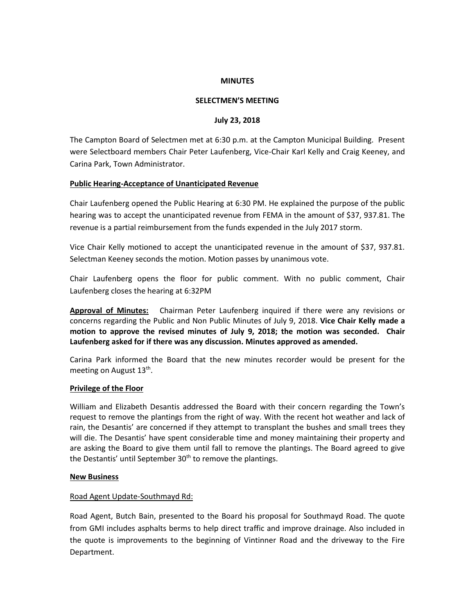#### **MINUTES**

## **SELECTMEN'S MEETING**

### **July 23, 2018**

The Campton Board of Selectmen met at 6:30 p.m. at the Campton Municipal Building. Present were Selectboard members Chair Peter Laufenberg, Vice-Chair Karl Kelly and Craig Keeney, and Carina Park, Town Administrator.

### **Public Hearing-Acceptance of Unanticipated Revenue**

Chair Laufenberg opened the Public Hearing at 6:30 PM. He explained the purpose of the public hearing was to accept the unanticipated revenue from FEMA in the amount of \$37, 937.81. The revenue is a partial reimbursement from the funds expended in the July 2017 storm.

Vice Chair Kelly motioned to accept the unanticipated revenue in the amount of \$37, 937.81. Selectman Keeney seconds the motion. Motion passes by unanimous vote.

Chair Laufenberg opens the floor for public comment. With no public comment, Chair Laufenberg closes the hearing at 6:32PM

**Approval of Minutes:** Chairman Peter Laufenberg inquired if there were any revisions or concerns regarding the Public and Non Public Minutes of July 9, 2018. **Vice Chair Kelly made a motion to approve the revised minutes of July 9, 2018; the motion was seconded. Chair Laufenberg asked for if there was any discussion. Minutes approved as amended.**

Carina Park informed the Board that the new minutes recorder would be present for the meeting on August 13<sup>th</sup>.

#### **Privilege of the Floor**

William and Elizabeth Desantis addressed the Board with their concern regarding the Town's request to remove the plantings from the right of way. With the recent hot weather and lack of rain, the Desantis' are concerned if they attempt to transplant the bushes and small trees they will die. The Desantis' have spent considerable time and money maintaining their property and are asking the Board to give them until fall to remove the plantings. The Board agreed to give the Destantis' until September  $30<sup>th</sup>$  to remove the plantings.

#### **New Business**

## Road Agent Update-Southmayd Rd:

Road Agent, Butch Bain, presented to the Board his proposal for Southmayd Road. The quote from GMI includes asphalts berms to help direct traffic and improve drainage. Also included in the quote is improvements to the beginning of Vintinner Road and the driveway to the Fire Department.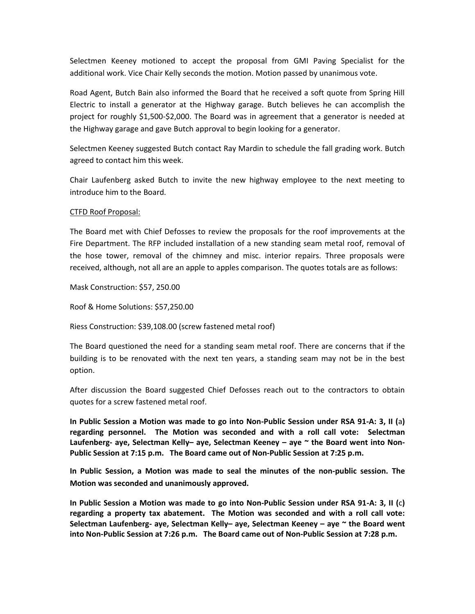Selectmen Keeney motioned to accept the proposal from GMI Paving Specialist for the additional work. Vice Chair Kelly seconds the motion. Motion passed by unanimous vote.

Road Agent, Butch Bain also informed the Board that he received a soft quote from Spring Hill Electric to install a generator at the Highway garage. Butch believes he can accomplish the project for roughly \$1,500-\$2,000. The Board was in agreement that a generator is needed at the Highway garage and gave Butch approval to begin looking for a generator.

Selectmen Keeney suggested Butch contact Ray Mardin to schedule the fall grading work. Butch agreed to contact him this week.

Chair Laufenberg asked Butch to invite the new highway employee to the next meeting to introduce him to the Board.

### CTFD Roof Proposal:

The Board met with Chief Defosses to review the proposals for the roof improvements at the Fire Department. The RFP included installation of a new standing seam metal roof, removal of the hose tower, removal of the chimney and misc. interior repairs. Three proposals were received, although, not all are an apple to apples comparison. The quotes totals are as follows:

Mask Construction: \$57, 250.00

Roof & Home Solutions: \$57,250.00

Riess Construction: \$39,108.00 (screw fastened metal roof)

The Board questioned the need for a standing seam metal roof. There are concerns that if the building is to be renovated with the next ten years, a standing seam may not be in the best option.

After discussion the Board suggested Chief Defosses reach out to the contractors to obtain quotes for a screw fastened metal roof.

**In Public Session a Motion was made to go into Non-Public Session under RSA 91-A: 3, II (**a**) regarding personnel. The Motion was seconded and with a roll call vote: Selectman Laufenberg- aye, Selectman Kelly– aye, Selectman Keeney – aye ~ the Board went into Non-Public Session at 7:15 p.m. The Board came out of Non-Public Session at 7:25 p.m.**

**In Public Session, a Motion was made to seal the minutes of the non-public session. The Motion was seconded and unanimously approved.** 

**In Public Session a Motion was made to go into Non-Public Session under RSA 91-A: 3, II (**c**) regarding a property tax abatement. The Motion was seconded and with a roll call vote: Selectman Laufenberg- aye, Selectman Kelly– aye, Selectman Keeney – aye ~ the Board went into Non-Public Session at 7:26 p.m. The Board came out of Non-Public Session at 7:28 p.m.**